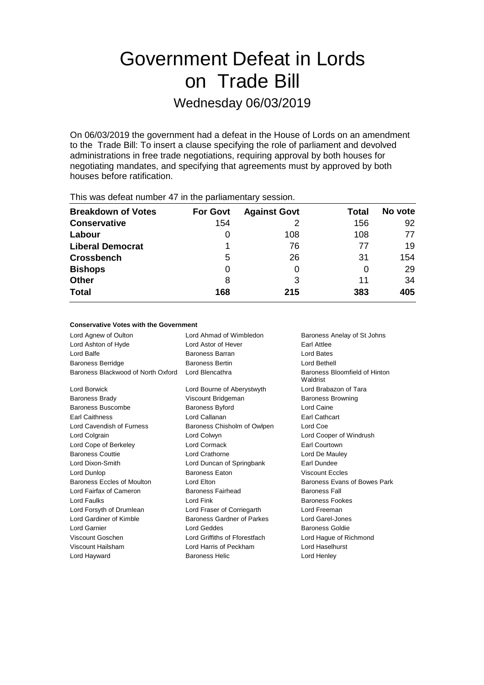# Government Defeat in Lords on Trade Bill

### Wednesday 06/03/2019

On 06/03/2019 the government had a defeat in the House of Lords on an amendment to the Trade Bill: To insert a clause specifying the role of parliament and devolved administrations in free trade negotiations, requiring approval by both houses for negotiating mandates, and specifying that agreements must by approved by both houses before ratification.

| This mas acteat harmoof in the partial formation of coopleting |                 |                     |              |         |  |  |
|----------------------------------------------------------------|-----------------|---------------------|--------------|---------|--|--|
| <b>Breakdown of Votes</b>                                      | <b>For Govt</b> | <b>Against Govt</b> | <b>Total</b> | No vote |  |  |
| <b>Conservative</b>                                            | 154             |                     | 156          | 92      |  |  |
| Labour                                                         |                 | 108                 | 108          | 77      |  |  |
| <b>Liberal Democrat</b>                                        |                 | 76                  | 77           | 19      |  |  |
| <b>Crossbench</b>                                              | 5               | 26                  | 31           | 154     |  |  |
| <b>Bishops</b>                                                 | 0               | O                   | O            | 29      |  |  |
| <b>Other</b>                                                   | 8               | 3                   | 11           | 34      |  |  |
| <b>Total</b>                                                   | 168             | 215                 | 383          | 405     |  |  |
|                                                                |                 |                     |              |         |  |  |

This was defeat number 47 in the parliamentary session.

#### **Conservative Votes with the Government**

| Lord Agnew of Oulton               | Lord Ahmad of Wimbledon       | Baroness Anelay of St Johns               |
|------------------------------------|-------------------------------|-------------------------------------------|
| Lord Ashton of Hyde                | Lord Astor of Hever           | <b>Farl Attlee</b>                        |
| Lord Balfe                         | Baroness Barran               | Lord Bates                                |
| <b>Baroness Berridge</b>           | <b>Baroness Bertin</b>        | Lord Bethell                              |
| Baroness Blackwood of North Oxford | Lord Blencathra               | Baroness Bloomfield of Hinton<br>Waldrist |
| Lord Borwick                       | Lord Bourne of Aberystwyth    | Lord Brabazon of Tara                     |
| <b>Baroness Brady</b>              | Viscount Bridgeman            | <b>Baroness Browning</b>                  |
| Baroness Buscombe                  | <b>Baroness Byford</b>        | Lord Caine                                |
| <b>Earl Caithness</b>              | Lord Callanan                 | Earl Cathcart                             |
| Lord Cavendish of Furness          | Baroness Chisholm of Owlpen   | Lord Coe                                  |
| Lord Colgrain                      | Lord Colwyn                   | Lord Cooper of Windrush                   |
| Lord Cope of Berkeley              | Lord Cormack                  | <b>Earl Courtown</b>                      |
| <b>Baroness Couttie</b>            | Lord Crathorne                | Lord De Mauley                            |
| Lord Dixon-Smith                   | Lord Duncan of Springbank     | Earl Dundee                               |
| Lord Dunlop                        | <b>Baroness Eaton</b>         | <b>Viscount Eccles</b>                    |
| Baroness Eccles of Moulton         | Lord Elton                    | Baroness Evans of Bowes Park              |
| Lord Fairfax of Cameron            | <b>Baroness Fairhead</b>      | <b>Baroness Fall</b>                      |
| Lord Faulks                        | Lord Fink                     | <b>Baroness Fookes</b>                    |
| Lord Forsyth of Drumlean           | Lord Fraser of Corriegarth    | Lord Freeman                              |
| Lord Gardiner of Kimble            | Baroness Gardner of Parkes    | Lord Garel-Jones                          |
| Lord Garnier                       | Lord Geddes                   | <b>Baroness Goldie</b>                    |
| Viscount Goschen                   | Lord Griffiths of Fforestfach | Lord Hague of Richmond                    |
| Viscount Hailsham                  | Lord Harris of Peckham        | Lord Haselhurst                           |
| Lord Hayward                       | <b>Baroness Helic</b>         | Lord Henley                               |
|                                    |                               |                                           |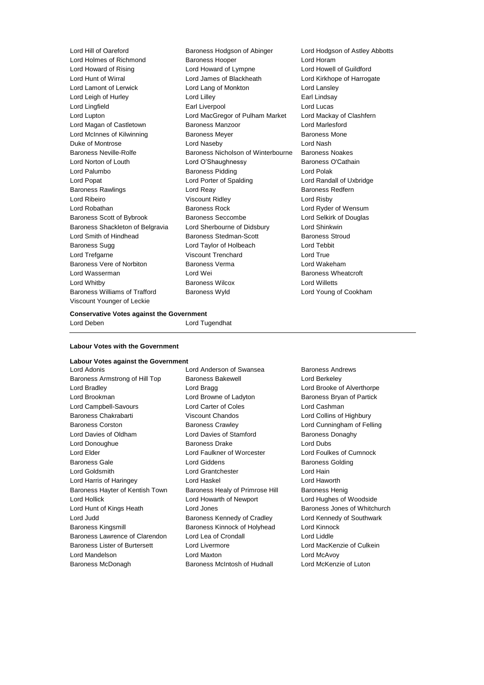Lord Holmes of Richmond Baroness Hooper Controller Lord Horam Lord Howard of Rising Lord Howard of Lympne Lord Howell of Guildford Lord Hunt of Wirral Lord James of Blackheath Lord Kirkhope of Harrogate Lord Lamont of Lerwick Lord Lang of Monkton Lord Lansley Lord Leigh of Hurley **Lord Lilley** Lord Lilley **Earl Lindsay** Lord Lingfield Earl Liverpool Lord Lucas Lord Lupton Lord MacGregor of Pulham Market Lord Mackay of Clashfern Lord Magan of Castletown **Baroness Manzoor Baroness Manzoor** Lord Marlesford Lord McInnes of Kilwinning Baroness Meyer Baroness Mone Duke of Montrose Lord Naseby Lord Nash Baroness Neville-Rolfe **Baroness Nicholson of Winterbourne** Baroness Noakes Lord Norton of Louth **Lord O'Shaughnessy** Baroness O'Cathain Lord Palumbo **Baroness Pidding Lord Polak** Lord Polak Lord Popat Lord Porter of Spalding Lord Randall of Uxbridge Baroness Rawlings **Lord Reay Lord Reay Baroness Redfern** Lord Ribeiro Viscount Ridley Lord Risby Lord Robathan **Baroness Rock** Lord Ryder of Wensum Baroness Scott of Bybrook Baroness Seccombe Lord Selkirk of Douglas Baroness Shackleton of Belgravia Lord Sherbourne of Didsbury Lord Shinkwin Lord Smith of Hindhead Baroness Stedman-Scott Baroness Stroud Baroness Sugg **Lord Taylor of Holbeach** Lord Tebbit Lord Trefgarne Viscount Trenchard Lord True Baroness Vere of Norbiton Baroness Verma Lord Wakeham Lord Wasserman Lord Wei Baroness Wheatcroft Lord Whitby Baroness Wilcox Lord Willetts Baroness Williams of Trafford Baroness Wyld Lord Young of Cookham Viscount Younger of Leckie

Lord Hill of Oareford **Baroness Hodgson of Abinger** Lord Hodgson of Astley Abbotts

**Conservative Votes against the Government** Lord Deben **Lord Tugendhat** 

#### **Labour Votes with the Government**

## **Labour Votes against the Government**

Baroness Armstrong of Hill Top Baroness Bakewell **Baroness Lord Berkeley** Lord Bradley **Lord Bragg Lord Bragg Lord Brooke of Alverthorpe** Lord Brookman **Lord Browne of Ladyton** Baroness Bryan of Partick Lord Campbell-Savours Lord Carter of Coles Lord Cashman Baroness Chakrabarti Viscount Chandos Lord Collins of Highbury Baroness Corston Baroness Crawley Lord Cunningham of Felling Lord Davies of Oldham **Lord Davies of Stamford** Baroness Donaghy Lord Donoughue **Baroness Drake** Lord Dubs Lord Elder Lord Faulkner of Worcester Lord Foulkes of Cumnock Baroness Gale **Baroness Golding** Lord Giddens **Baroness Golding Baroness** Golding Lord Goldsmith Lord Grantchester Lord Hain Lord Harris of Haringey Lord Haskel Lord Haworth Baroness Hayter of Kentish Town Baroness Healy of Primrose Hill Baroness Henig Lord Hollick Lord Howarth of Newport Lord Hughes of Woodside Lord Hunt of Kings Heath **Lord Jones** Baroness Jones of Whitchurch Lord Judd Baroness Kennedy of Cradley Lord Kennedy of Southwark Baroness Kingsmill Baroness Kinnock of Holyhead Lord Kinnock Baroness Lawrence of Clarendon Lord Lea of Crondall Lord Lord Liddle Baroness Lister of Burtersett Lord Livermore Lord MacKenzie of Culkein Lord Mandelson Lord Maxton Lord McAvoy Baroness McDonagh Baroness McIntosh of Hudnall Lord McKenzie of Luton

Lord Anderson of Swansea **Baroness Andrews**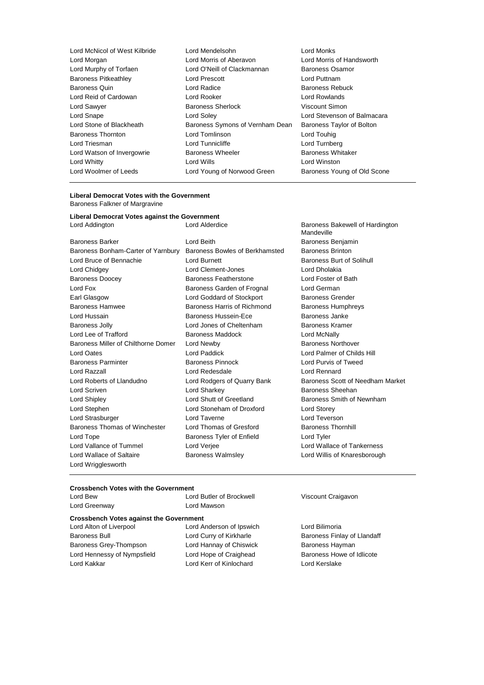| Lord Mendelsohn                 | Lord Monks                  |
|---------------------------------|-----------------------------|
| Lord Morris of Aberavon         | Lord Morris of Handsworth   |
| Lord O'Neill of Clackmannan     | Baroness Osamor             |
| <b>Lord Prescott</b>            | Lord Puttnam                |
| Lord Radice                     | <b>Baroness Rebuck</b>      |
| Lord Rooker                     | Lord Rowlands               |
| <b>Baroness Sherlock</b>        | Viscount Simon              |
| Lord Soley                      | Lord Stevenson of Balmacara |
| Baroness Symons of Vernham Dean | Baroness Taylor of Bolton   |
| Lord Tomlinson                  | Lord Touhig                 |
| Lord Tunnicliffe                | Lord Turnberg               |
| <b>Baroness Wheeler</b>         | <b>Baroness Whitaker</b>    |
| Lord Wills                      | Lord Winston                |
| Lord Young of Norwood Green     | Baroness Young of Old Scone |
|                                 |                             |

#### **Liberal Democrat Votes with the Government** Baroness Falkner of Margravine

### **Liberal Democrat Votes against the Government**

| <b>Baroness Barker</b>              | L |
|-------------------------------------|---|
| Baroness Bonham-Carter of Yarnbury  | E |
| Lord Bruce of Bennachie             | L |
| Lord Chidgey                        | L |
| <b>Baroness Doocey</b>              | E |
| Lord Fox                            | E |
| Earl Glasgow                        | L |
| <b>Baroness Hamwee</b>              | E |
| Lord Hussain                        | E |
| <b>Baroness Jolly</b>               | Ĺ |
| Lord Lee of Trafford                | Ė |
| Baroness Miller of Chilthorne Domer | L |
| Lord Oates                          | L |
| <b>Baroness Parminter</b>           | E |
| Lord Razzall                        | L |
| Lord Roberts of Llandudno           |   |
| Lord Scriven                        | L |
| <b>Lord Shipley</b>                 | L |
| Lord Stephen                        | L |
| Lord Strasburger                    | L |
| Baroness Thomas of Winchester       | L |
| Lord Tope                           | E |
| Lord Vallance of Tummel             | L |
| Lord Wallace of Saltaire            | E |
| Lord Wrigglesworth                  |   |
|                                     |   |

Lord Beith **Barcher Lord Barcher Lord Barchers** Benjamin Baroness Bowles of Berkhamsted Baroness Brinton Lord Burnett **Baroness Burt of Solihull** Lord Clement-Jones Lord Dholakia Baroness Featherstone **Lord Foster of Bath** Baroness Garden of Frognal Lord German Lord Goddard of Stockport **Baroness Grender** Baroness Harris of Richmond Baroness Humphreys Baroness Hussein-Ece Baroness Janke Lord Jones of Cheltenham Baroness Kramer aroness Maddock Lord McNally **Baroness Northover** Children Domer Domer Lord Newby Lord Paddick Lord Palmer of Childs Hill Baroness Pinnock Lord Purvis of Tweed Lord Redesdale **Lord Rennard** Lord Sharkey **Baroness** Sheehan Lord Shutt of Greetland Baroness Smith of Newnham Lord Stoneham of Droxford Lord Storey Lord Taverne **Lord Teverson** Lord Thomas of Gresford Baroness Thornhill Baroness Tyler of Enfield **Lord Tyler** Lord Verjee **Lord Wallace of Tankerness** Baroness Walmsley **Communist Constructs** Lord Willis of Knaresborough

Lord Addington Lord Alderdice Baroness Bakewell of Hardington Mandeville Lord Rodgers of Quarry Bank Baroness Scott of Needham Market

#### **Crossbench Votes with the Government**

| Lord Bew                                       | Lord Butler of Brockwell |  |  |  |
|------------------------------------------------|--------------------------|--|--|--|
| Lord Greenway                                  | Lord Mawson              |  |  |  |
| <b>Crossbench Votes against the Government</b> |                          |  |  |  |
| Lord Alton of Liverpool                        | Lord Anderson of Ipswich |  |  |  |
| <b>Baroness Bull</b>                           | Lord Curry of Kirkharle  |  |  |  |
| Baroness Grey-Thompson                         | Lord Hannay of Chiswick  |  |  |  |
| Lord Hennessy of Nympsfield                    | Lord Hope of Craighead   |  |  |  |
| Lord Kakkar                                    | Lord Kerr of Kinlochard  |  |  |  |
|                                                |                          |  |  |  |

Viscount Craigavon

Lord Bilimoria Baroness Finlay of Llandaff Baroness Hayman Baroness Howe of Idlicote Lord Kerslake